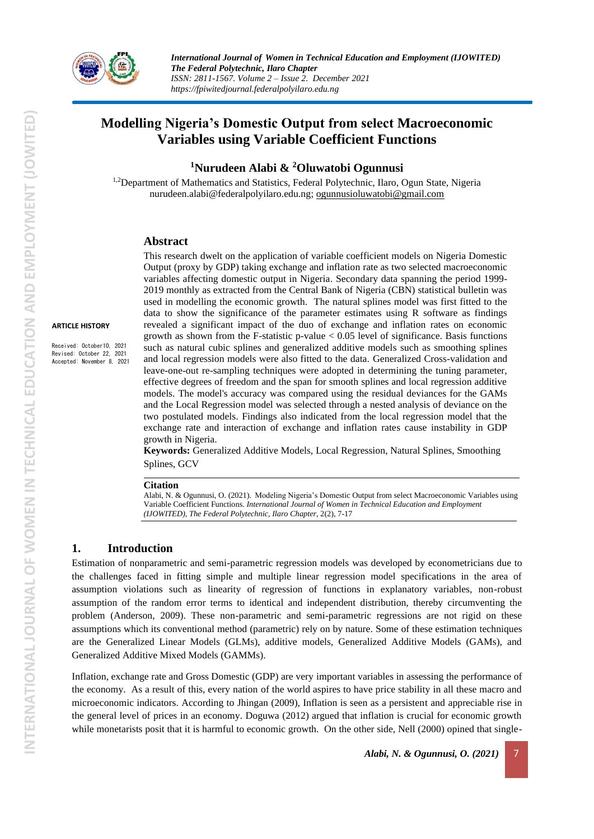

# **Modelling Nigeria's Domestic Output from select Macroeconomic Variables using Variable Coefficient Functions**

**<sup>1</sup>Nurudeen Alabi & <sup>2</sup>Oluwatobi Ogunnusi**

<sup>1,2</sup>Department of Mathematics and Statistics, Federal Polytechnic, Ilaro, Ogun State, Nigeria nurudeen.alabi@federalpolyilaro.edu.ng; [ogunnusioluwatobi@gmail.com](mailto:ogunnusioluwatobi@gmail.com)

# **Abstract**

**ARTICLE HISTORY**

Received: October10, 2021 Revised: October 22, 2021 Accepted: November 8, 2021

This research dwelt on the application of variable coefficient models on Nigeria Domestic Output (proxy by GDP) taking exchange and inflation rate as two selected macroeconomic variables affecting domestic output in Nigeria. Secondary data spanning the period 1999- 2019 monthly as extracted from the Central Bank of Nigeria (CBN) statistical bulletin was used in modelling the economic growth. The natural splines model was first fitted to the data to show the significance of the parameter estimates using R software as findings revealed a significant impact of the duo of exchange and inflation rates on economic growth as shown from the F-statistic p-value  $< 0.05$  level of significance. Basis functions such as natural cubic splines and generalized additive models such as smoothing splines and local regression models were also fitted to the data. Generalized Cross-validation and leave-one-out re-sampling techniques were adopted in determining the tuning parameter, effective degrees of freedom and the span for smooth splines and local regression additive models. The model's accuracy was compared using the residual deviances for the GAMs and the Local Regression model was selected through a nested analysis of deviance on the two postulated models. Findings also indicated from the local regression model that the exchange rate and interaction of exchange and inflation rates cause instability in GDP growth in Nigeria.

**Keywords:** Generalized Additive Models, Local Regression, Natural Splines, Smoothing Splines, GCV

### **Citation**

Alabi, N. & Ogunnusi, O. (2021). Modeling Nigeria's Domestic Output from select Macroeconomic Variables using Variable Coefficient Functions. *International Journal of Women in Technical Education and Employment (IJOWITED), The Federal Polytechnic, Ilaro Chapter*, 2(2), 7-17

# **1. Introduction**

Estimation of nonparametric and semi-parametric regression models was developed by econometricians due to the challenges faced in fitting simple and multiple linear regression model specifications in the area of assumption violations such as linearity of regression of functions in explanatory variables, non-robust assumption of the random error terms to identical and independent distribution, thereby circumventing the problem (Anderson, 2009). These non-parametric and semi-parametric regressions are not rigid on these assumptions which its conventional method (parametric) rely on by nature. Some of these estimation techniques are the Generalized Linear Models (GLMs), additive models, Generalized Additive Models (GAMs), and Generalized Additive Mixed Models (GAMMs).

Inflation, exchange rate and Gross Domestic (GDP) are very important variables in assessing the performance of the economy. As a result of this, every nation of the world aspires to have price stability in all these macro and microeconomic indicators. According to Jhingan (2009), Inflation is seen as a persistent and appreciable rise in the general level of prices in an economy. Doguwa (2012) argued that inflation is crucial for economic growth while monetarists posit that it is harmful to economic growth. On the other side, Nell (2000) opined that single-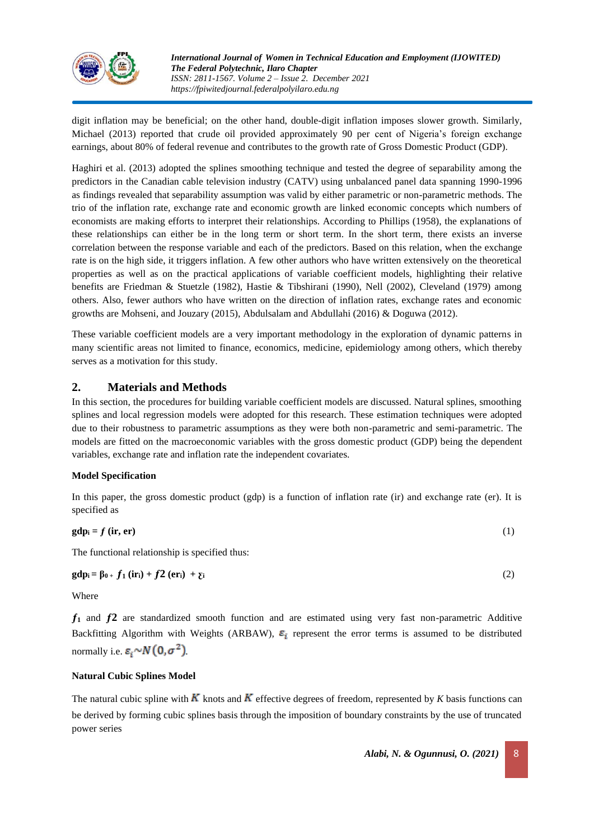

digit inflation may be beneficial; on the other hand, double-digit inflation imposes slower growth. Similarly, Michael (2013) reported that crude oil provided approximately 90 per cent of Nigeria's foreign exchange earnings, about 80% of federal revenue and contributes to the growth rate of Gross Domestic Product (GDP).

Haghiri et al. (2013) adopted the splines smoothing technique and tested the degree of separability among the predictors in the Canadian cable television industry (CATV) using unbalanced panel data spanning 1990-1996 as findings revealed that separability assumption was valid by either parametric or non-parametric methods. The trio of the inflation rate, exchange rate and economic growth are linked economic concepts which numbers of economists are making efforts to interpret their relationships. According to Phillips (1958), the explanations of these relationships can either be in the long term or short term. In the short term, there exists an inverse correlation between the response variable and each of the predictors. Based on this relation, when the exchange rate is on the high side, it triggers inflation. A few other authors who have written extensively on the theoretical properties as well as on the practical applications of variable coefficient models, highlighting their relative benefits are Friedman & Stuetzle (1982), Hastie & Tibshirani (1990), Nell (2002), Cleveland (1979) among others. Also, fewer authors who have written on the direction of inflation rates, exchange rates and economic growths are Mohseni, and Jouzary (2015), Abdulsalam and Abdullahi (2016) & Doguwa (2012).

These variable coefficient models are a very important methodology in the exploration of dynamic patterns in many scientific areas not limited to finance, economics, medicine, epidemiology among others, which thereby serves as a motivation for this study.

# **2. Materials and Methods**

In this section, the procedures for building variable coefficient models are discussed. Natural splines, smoothing splines and local regression models were adopted for this research. These estimation techniques were adopted due to their robustness to parametric assumptions as they were both non-parametric and semi-parametric. The models are fitted on the macroeconomic variables with the gross domestic product (GDP) being the dependent variables, exchange rate and inflation rate the independent covariates.

# **Model Specification**

In this paper, the gross domestic product (gdp) is a function of inflation rate (ir) and exchange rate (er). It is specified as

$$
gdp_i = f \left( \text{ir, er} \right) \tag{1}
$$

The functional relationship is specified thus:

**gd**p<sub>i</sub> =  $\beta_0$  +  $f_1$  (ir<sub>i</sub>) +  $f_2$  (er<sub>i</sub>) +  $\gamma_i$  (2)

Where

**ƒ<sup>1</sup>** and **ƒ2** are standardized smooth function and are estimated using very fast non-parametric Additive Backfitting Algorithm with Weights (ARBAW),  $\varepsilon_i$  represent the error terms is assumed to be distributed normally i.e.  $\varepsilon_i \sim N(0, \sigma^2)$ 

# **Natural Cubic Splines Model**

The natural cubic spline with  $K$  knots and  $K$  effective degrees of freedom, represented by  $K$  basis functions can be derived by forming cubic splines basis through the imposition of boundary constraints by the use of truncated power series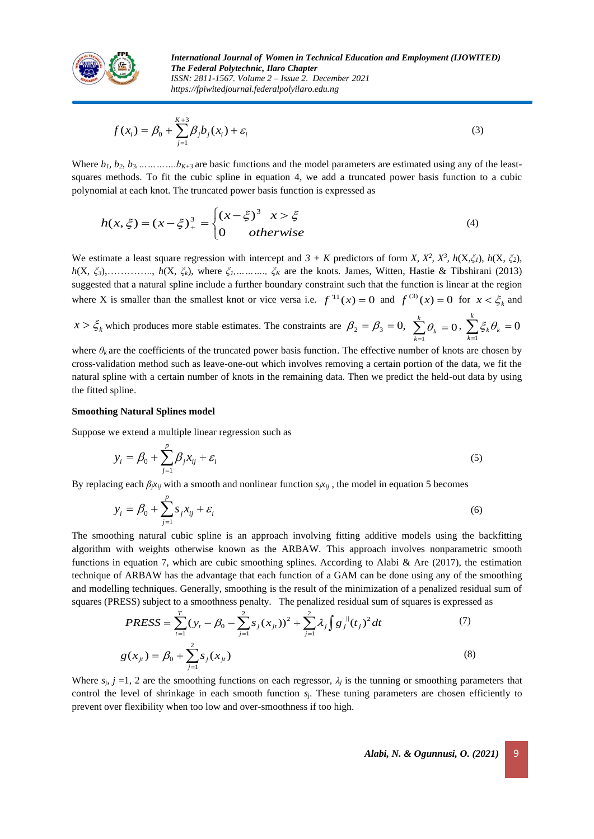

$$
f(x_i) = \beta_0 + \sum_{j=1}^{K+3} \beta_j b_j(x_i) + \varepsilon_i
$$
 (3)

Where  $b_1, b_2, b_3, \ldots, b_{K+3}$  are basic functions and the model parameters are estimated using any of the leastsquares methods. To fit the cubic spline in equation 4, we add a truncated power basis function to a cubic polynomial at each knot. The truncated power basis function is expressed as

$$
h(x,\xi) = (x - \xi)^3_{+} = \begin{cases} (x - \xi)^3 & x > \xi \\ 0 & otherwise \end{cases}
$$
 (4)

We estimate a least square regression with intercept and  $3 + K$  predictors of form *X*,  $X^2$ ,  $X^3$ ,  $h(X, \xi_1)$ ,  $h(X, \xi_2)$ , *h*(X, *ξ3*),………….., *h*(X, *ξk*), where *ξ1,………., ξ<sup>K</sup>* are the knots. James, Witten, Hastie & Tibshirani (2013) suggested that a natural spline include a further boundary constraint such that the function is linear at the region where X is smaller than the smallest knot or vice versa i.e.  $f^{-1}(x) = 0$  and  $f^{(3)}(x) = 0$  for  $x < \xi_k$  and

 $x > \xi_k$  which produces more stable estimates. The constraints are  $\beta_2 = \beta_3 = 0$ ,  $\sum \beta_k = 0$ ,  $\sum \xi_k \theta_k = 0$  $\sum_{k=1}^{\kappa} \theta_k = 0 \cdot \sum_{k=1} \xi_k \theta_k = 0$ *k*  $\sum_{k=1} \theta_k = 0 \, , \; \sum_{k=1} \xi_k \theta_k = 0 \, ,$  $\sum_{k=1} \xi_k \theta_k = 0$ *k*  $k=1$  $\xi_k \theta_k = 0$ 

where  $\theta_k$  are the coefficients of the truncated power basis function. The effective number of knots are chosen by cross-validation method such as leave-one-out which involves removing a certain portion of the data, we fit the natural spline with a certain number of knots in the remaining data. Then we predict the held-out data by using the fitted spline.

#### **Smoothing Natural Splines model**

Suppose we extend a multiple linear regression such as

$$
y_i = \beta_0 + \sum_{j=1}^p \beta_j x_{ij} + \varepsilon_i
$$
\n<sup>(5)</sup>

By replacing each  $\beta_j x_{ij}$  with a smooth and nonlinear function  $s_j x_{ij}$ , the model in equation 5 becomes

$$
y_i = \beta_0 + \sum_{j=1}^p s_j x_{ij} + \varepsilon_i
$$
\n<sup>(6)</sup>

The smoothing natural cubic spline is an approach involving fitting additive models using the backfitting algorithm with weights otherwise known as the ARBAW. This approach involves nonparametric smooth functions in equation 7, which are cubic smoothing splines. According to Alabi & Are (2017), the estimation technique of ARBAW has the advantage that each function of a GAM can be done using any of the smoothing and modelling techniques. Generally, smoothing is the result of the minimization of a penalized residual sum of squares (PRESS) subject to a smoothness penalty. The penalized residual sum of squares is expressed as

$$
PRESS = \sum_{t=1}^{T} (y_t - \beta_0 - \sum_{j=1}^{2} s_j (x_{jt})^2 + \sum_{j=1}^{2} \lambda_j \int g_j^{(i)}(t_j)^2 dt
$$
  
\n
$$
g(x_{jt}) = \beta_0 + \sum_{j=1}^{2} s_j (x_{jt})
$$
\n(8)

Where  $s_i$ ,  $j = 1$ , 2 are the smoothing functions on each regressor,  $\lambda_j$  is the tunning or smoothing parameters that control the level of shrinkage in each smooth function *s*j. These tuning parameters are chosen efficiently to prevent over flexibility when too low and over-smoothness if too high.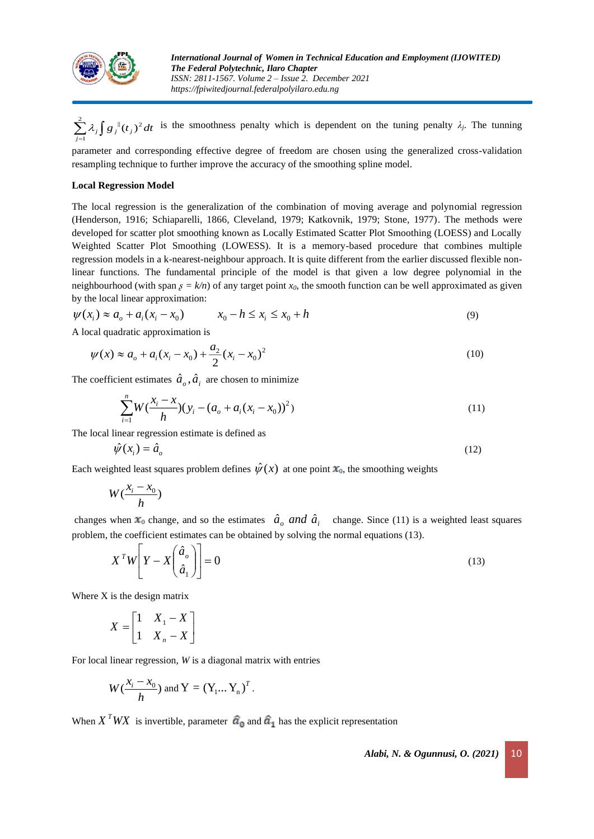

 $\sum_{i=1}^{2} \lambda_i \int g_i^{\parallel}(t_i)^2 dt$  is the smoothness penalty which is dependent on the tuning penalty  $\lambda_i$ . The tunning 1 *j*

parameter and corresponding effective degree of freedom are chosen using the generalized cross-validation resampling technique to further improve the accuracy of the smoothing spline model.

#### **Local Regression Model**

The local regression is the generalization of the combination of moving average and polynomial regression (Henderson, 1916; Schiaparelli, 1866, Cleveland, 1979; Katkovnik, 1979; Stone, 1977). The methods were developed for scatter plot smoothing known as Locally Estimated Scatter Plot Smoothing (LOESS) and Locally Weighted Scatter Plot Smoothing (LOWESS). It is a memory-based procedure that combines multiple regression models in a k-nearest-neighbour approach. It is quite different from the earlier discussed flexible nonlinear functions. The fundamental principle of the model is that given a low degree polynomial in the neighbourhood (with span  $\beta = k/n$ ) of any target point  $x_0$ , the smooth function can be well approximated as given by the local linear approximation:

$$
\psi(x_i) \approx a_o + a_i(x_i - x_0) \qquad x_0 - h \le x_i \le x_0 + h \tag{9}
$$

A local quadratic approximation is

$$
\psi(x) \approx a_o + a_i(x_i - x_0) + \frac{a_2}{2}(x_i - x_0)^2
$$
\n(10)

The coefficient estimates  $\hat{a}_{\rho}$ ,  $\hat{a}_i$  are chosen to minimize

$$
\sum_{i=1}^{n} W(\frac{x_i - x}{h})(y_i - (a_o + a_i(x_i - x_0))^2)
$$
\n(11)

The local linear regression estimate is defined as

$$
\hat{\psi}(x_i) = \hat{a}_o \tag{12}
$$

Each weighted least squares problem defines  $\hat{\psi}(x)$  at one point  $x_0$ , the smoothing weights

$$
W(\frac{x_i - x_0}{h})
$$

changes when  $x_0$  change, and so the estimates  $\hat{a}_o$  *and*  $\hat{a}_i$  change. Since (11) is a weighted least squares problem, the coefficient estimates can be obtained by solving the normal equations (13).

$$
X^T W \left[ Y - X \left( \frac{\hat{a}_o}{\hat{a}_1} \right) \right] = 0 \tag{13}
$$

Where X is the design matrix

$$
X = \begin{bmatrix} 1 & X_1 - X \\ 1 & X_n - X \end{bmatrix}
$$

For local linear regression, *W* is a diagonal matrix with entries

$$
W(\frac{x_i - x_0}{h})
$$
 and 
$$
Y = (Y_1 ... Y_n)^T.
$$

When  $X^T W X$  is invertible, parameter  $\hat{a}_0$  and  $\hat{a}_1$  has the explicit representation

*Alabi, N. & Ogunnusi, O. (2021)* 10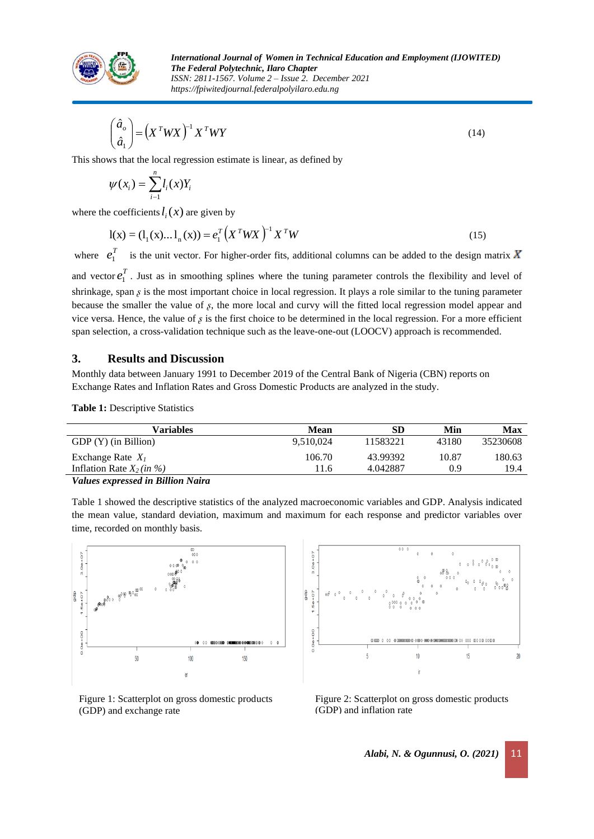

$$
\begin{pmatrix} \hat{a}_o \\ \hat{a}_1 \end{pmatrix} = \left( X^T W X \right)^{-1} X^T W Y \tag{14}
$$

This shows that the local regression estimate is linear, as defined by

$$
\psi(x_i) = \sum_{i=1}^n l_i(x) Y_i
$$

where the coefficients  $l_i(x)$  are given by

$$
l(x) = (l_1(x)...l_n(x)) = e_1^T (X^T W X)^{-1} X^T W
$$
\n(15)

where  $e_1^T$  is the unit vector. For higher-order fits, additional columns can be added to the design matrix and vector  $e_1^T$ . Just as in smoothing splines where the tuning parameter controls the flexibility and level of shrinkage, span *s* is the most important choice in local regression. It plays a role similar to the tuning parameter because the smaller the value of  $\beta$ , the more local and curvy will the fitted local regression model appear and vice versa. Hence, the value of  $\beta$  is the first choice to be determined in the local regression. For a more efficient span selection, a cross-validation technique such as the leave-one-out (LOOCV) approach is recommended.

# **3. Results and Discussion**

Monthly data between January 1991 to December 2019 of the Central Bank of Nigeria (CBN) reports on Exchange Rates and Inflation Rates and Gross Domestic Products are analyzed in the study.

**Table 1:** Descriptive Statistics

| Variables                         | Mean      | SD       | Min   | Max      |
|-----------------------------------|-----------|----------|-------|----------|
| $GDP(Y)$ (in Billion)             | 9.510.024 | 11583221 | 43180 | 35230608 |
| Exchange Rate $X_1$               | 106.70    | 43.99392 | 10.87 | 180.63   |
| Inflation Rate $X_2(in %)$        | 11.6      | 4.042887 | 0.9   | 19.4     |
| Values expressed in Rillian Naira |           |          |       |          |

*expressed in Billion Naira* 

Table 1 showed the descriptive statistics of the analyzed macroeconomic variables and GDP. Analysis indicated the mean value, standard deviation, maximum and maximum for each response and predictor variables over time, recorded on monthly basis.



Figure 1: Scatterplot on gross domestic products (GDP) and exchange rate



Figure 2: Scatterplot on gross domestic products (GDP) and inflation rate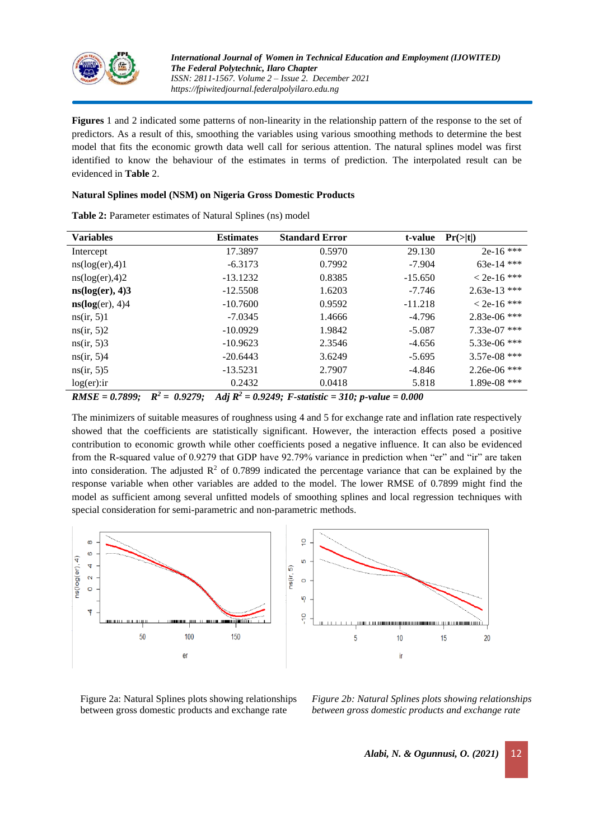

**Figures** 1 and 2 indicated some patterns of non-linearity in the relationship pattern of the response to the set of predictors. As a result of this, smoothing the variables using various smoothing methods to determine the best model that fits the economic growth data well call for serious attention. The natural splines model was first identified to know the behaviour of the estimates in terms of prediction. The interpolated result can be evidenced in **Table** 2.

### **Natural Splines model (NSM) on Nigeria Gross Domestic Products**

| <b>Variables</b>   | <b>Estimates</b> | <b>Standard Error</b>                                           | t-value   | Pr(> t )       |
|--------------------|------------------|-----------------------------------------------------------------|-----------|----------------|
| Intercept          | 17.3897          | 0.5970                                                          | 29.130    | $2e-16$ ***    |
| ns(log(er), 4)1    | $-6.3173$        | 0.7992                                                          | $-7.904$  | 63e-14 ***     |
| ns(log(er), 4)2    | $-13.1232$       | 0.8385                                                          | $-15.650$ | $< 2e-16$ ***  |
| ns(log(er), 4)3    | $-12.5508$       | 1.6203                                                          | $-7.746$  | $2.63e-13$ *** |
| ns(log(er), 4)4    | $-10.7600$       | 0.9592                                                          | $-11.218$ | $< 2e-16$ ***  |
| ns(ir, 5)1         | $-7.0345$        | 1.4666                                                          | $-4.796$  | 2.83e-06 ***   |
| ns(ir, 5)2         | $-10.0929$       | 1.9842                                                          | $-5.087$  | 7.33e-07 ***   |
| ns(ir, 5)3         | $-10.9623$       | 2.3546                                                          | $-4.656$  | 5.33e-06 ***   |
| ns(ir, 5)4         | $-20.6443$       | 3.6249                                                          | $-5.695$  | 3.57e-08 ***   |
| ns(ir, 5)5         | $-13.5231$       | 2.7907                                                          | -4.846    | $2.26e-06$ *** |
| log(er):           | 0.2432           | 0.0418                                                          | 5.818     | $1.89e-08$ *** |
| $DIICE = 0.7900$ . | $P^2 = 0.0270$   | $\lambda$ d: $D^2 = 0.0240$ , Estatistic = 210, n uglus = 0.000 |           |                |

**Table 2:** Parameter estimates of Natural Splines (ns) model

*RMSE = 0.7899; R<sup>2</sup> = 0.9279; Adj R<sup>2</sup> = 0.9249; F-statistic = 310; p-value = 0.000*

The minimizers of suitable measures of roughness using 4 and 5 for exchange rate and inflation rate respectively showed that the coefficients are statistically significant. However, the interaction effects posed a positive contribution to economic growth while other coefficients posed a negative influence. It can also be evidenced from the R-squared value of 0.9279 that GDP have 92.79% variance in prediction when "er" and "ir" are taken into consideration. The adjusted  $R^2$  of 0.7899 indicated the percentage variance that can be explained by the response variable when other variables are added to the model. The lower RMSE of 0.7899 might find the model as sufficient among several unfitted models of smoothing splines and local regression techniques with special consideration for semi-parametric and non-parametric methods.



Figure 2a: Natural Splines plots showing relationships between gross domestic products and exchange rate

*Figure 2b: Natural Splines plots showing relationships between gross domestic products and exchange rate*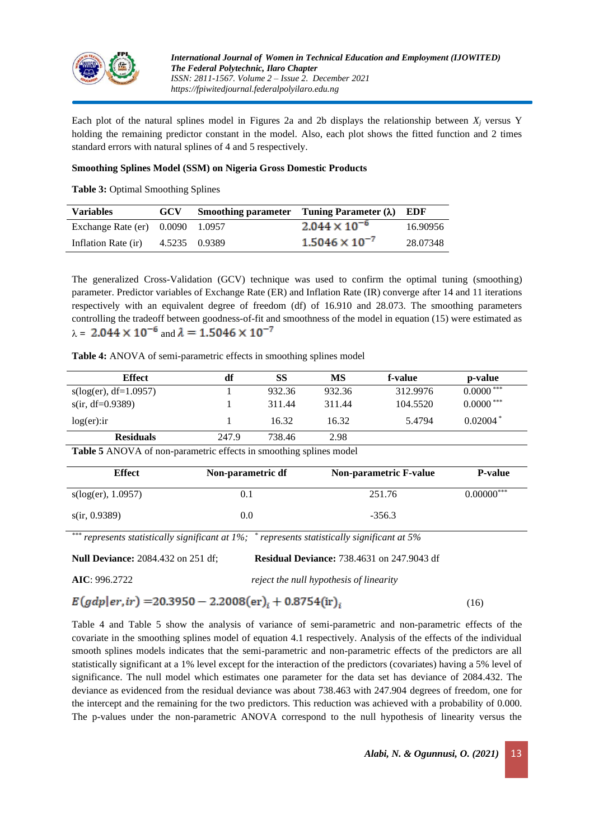

Each plot of the natural splines model in Figures 2a and 2b displays the relationship between  $X_i$  versus Y holding the remaining predictor constant in the model. Also, each plot shows the fitted function and 2 times standard errors with natural splines of 4 and 5 respectively.

# **Smoothing Splines Model (SSM) on Nigeria Gross Domestic Products**

**Table 3:** Optimal Smoothing Splines

| <b>Variables</b>                   | <b>GCV</b>    | Smoothing parameter Tuning Parameter $(\lambda)$ EDF |          |
|------------------------------------|---------------|------------------------------------------------------|----------|
| Exchange Rate (er) $0.0090$ 1.0957 |               | $2.044 \times 10^{-6}$                               | 16.90956 |
| Inflation Rate (ir)                | 4.5235 0.9389 | $1.5046 \times 10^{-7}$                              | 28.07348 |

The generalized Cross-Validation (GCV) technique was used to confirm the optimal tuning (smoothing) parameter. Predictor variables of Exchange Rate (ER) and Inflation Rate (IR) converge after 14 and 11 iterations respectively with an equivalent degree of freedom (df) of 16.910 and 28.073. The smoothing parameters controlling the tradeoff between goodness-of-fit and smoothness of the model in equation (15) were estimated as  $\lambda = 2.044 \times 10^{-6}$  and  $\lambda = 1.5046 \times 10^{-7}$ 

**Table 4:** ANOVA of semi-parametric effects in smoothing splines model

| <b>Effect</b>           | df    | SS     | MS     | f-value  | p-value                 |
|-------------------------|-------|--------|--------|----------|-------------------------|
| $s(log(er), df=1.0957)$ |       | 932.36 | 932.36 | 312.9976 | $0.0000$ <sup>***</sup> |
| $s$ (ir, df=0.9389)     |       | 311.44 | 311.44 | 104.5520 | $0.0000$ <sup>***</sup> |
| $log(er):$ ir           |       | 16.32  | 16.32  | 5.4794   | $0.02004*$              |
| <b>Residuals</b>        | 247.9 | 738.46 | 2.98   |          |                         |

**Table 5** ANOVA of non-parametric effects in smoothing splines model

| <b>Effect</b>      | Non-parametric df | <b>Non-parametric F-value</b> | <b>P-value</b> |
|--------------------|-------------------|-------------------------------|----------------|
| s(log(er), 1.0957) | 0.1               | 251.76                        | $0.00000***$   |
| s(ir, 0.9389)      | $0.0\,$           | $-356.3$                      |                |

*\*\*\* represents statistically significant at 1%; \* represents statistically significant at 5%*

**Null Deviance:** 2084.432 on 251 df; **Residual Deviance:** 738.4631 on 247.9043 df

**AIC**: 996.2722 *reject the null hypothesis of linearity*

 $E(gdp|er,ir) = 20.3950 - 2.2008(er)<sub>i</sub> + 0.8754(ir)<sub>i</sub>$ 

Table 4 and Table 5 show the analysis of variance of semi-parametric and non-parametric effects of the covariate in the smoothing splines model of equation 4.1 respectively. Analysis of the effects of the individual smooth splines models indicates that the semi-parametric and non-parametric effects of the predictors are all statistically significant at a 1% level except for the interaction of the predictors (covariates) having a 5% level of significance. The null model which estimates one parameter for the data set has deviance of 2084.432. The deviance as evidenced from the residual deviance was about 738.463 with 247.904 degrees of freedom, one for the intercept and the remaining for the two predictors. This reduction was achieved with a probability of 0.000. The p-values under the non-parametric ANOVA correspond to the null hypothesis of linearity versus the

(16)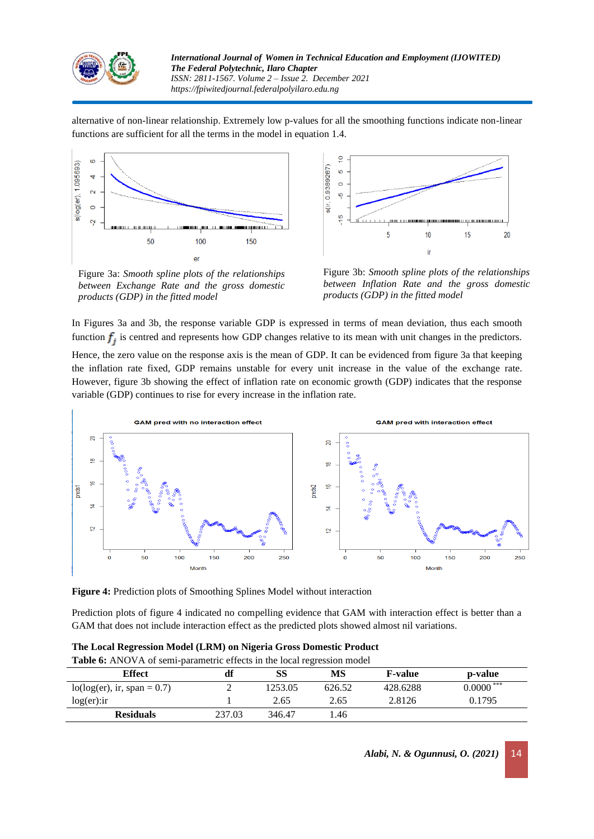

alternative of non-linear relationship. Extremely low p-values for all the smoothing functions indicate non-linear functions are sufficient for all the terms in the model in equation 1.4.



Figure 3a: *Smooth spline plots of the relationships between Exchange Rate and the gross domestic products (GDP) in the fitted model*



Figure 3b: *Smooth spline plots of the relationships between Inflation Rate and the gross domestic products (GDP) in the fitted model*

In Figures 3a and 3b, the response variable GDP is expressed in terms of mean deviation, thus each smooth function  $f_i$  is centred and represents how GDP changes relative to its mean with unit changes in the predictors.

Hence, the zero value on the response axis is the mean of GDP. It can be evidenced from figure 3a that keeping the inflation rate fixed, GDP remains unstable for every unit increase in the value of the exchange rate. However, figure 3b showing the effect of inflation rate on economic growth (GDP) indicates that the response variable (GDP) continues to rise for every increase in the inflation rate.



**Figure 4:** Prediction plots of Smoothing Splines Model without interaction

Prediction plots of figure 4 indicated no compelling evidence that GAM with interaction effect is better than a GAM that does not include interaction effect as the predicted plots showed almost nil variations.

| <b>Table 6:</b> ANOVA of semi-parametric effects in the local regression model |        |         |        |                |             |  |
|--------------------------------------------------------------------------------|--------|---------|--------|----------------|-------------|--|
| <b>Effect</b>                                                                  | df     | SS      | MS     | <b>F-value</b> | p-value     |  |
| $lo(log(er), ir, span = 0.7)$                                                  | ∠      | 1253.05 | 626.52 | 428.6288       | $0.0000***$ |  |
| $log(er):$ ir                                                                  |        | 2.65    | 2.65   | 2.8126         | 0.1795      |  |
| <b>Residuals</b>                                                               | 237.03 | 346.47  | 1.46   |                |             |  |

**The Local Regression Model (LRM) on Nigeria Gross Domestic Product**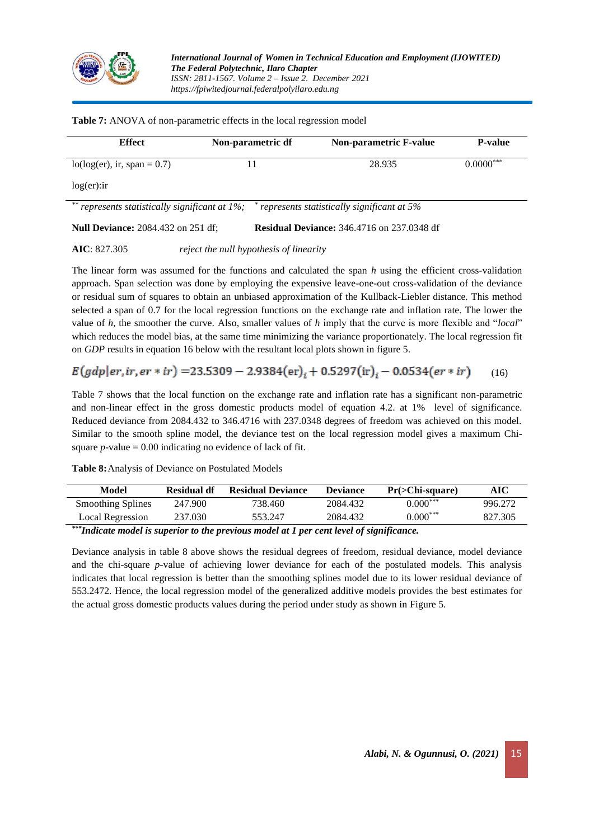

| <b>Effect</b>                                         | Non-parametric df | <b>Non-parametric F-value</b>                     | <b>P-value</b> |
|-------------------------------------------------------|-------------------|---------------------------------------------------|----------------|
| $lo(log(er), ir, span = 0.7)$                         |                   | 28.935                                            | $0.0000***$    |
| log(er):                                              |                   |                                                   |                |
| **<br>represents statistically significant at $1\%$ ; |                   | represents statistically significant at 5%        |                |
| <b>Null Deviance:</b> 2084.432 on 251 df;             |                   | <b>Residual Deviance:</b> 346.4716 on 237.0348 df |                |

**Table 7:** ANOVA of non-parametric effects in the local regression model

**AIC**: 827.305 *reject the null hypothesis of linearity*

The linear form was assumed for the functions and calculated the span *h* using the efficient cross-validation approach. Span selection was done by employing the expensive leave-one-out cross-validation of the deviance or residual sum of squares to obtain an unbiased approximation of the Kullback-Liebler distance. This method selected a span of 0.7 for the local regression functions on the exchange rate and inflation rate. The lower the value of *h,* the smoother the curve. Also, smaller values of *h* imply that the curve is more flexible and "*local*" which reduces the model bias, at the same time minimizing the variance proportionately. The local regression fit on *GDP* results in equation 16 below with the resultant local plots shown in figure 5.

# $E(gdp|er,ir,er * ir) = 23.5309 - 2.9384(er)<sub>i</sub> + 0.5297(ir)<sub>i</sub> - 0.0534(er * ir)$  (16)

Table 7 shows that the local function on the exchange rate and inflation rate has a significant non-parametric and non-linear effect in the gross domestic products model of equation 4.2. at 1% level of significance. Reduced deviance from 2084.432 to 346.4716 with 237.0348 degrees of freedom was achieved on this model. Similar to the smooth spline model, the deviance test on the local regression model gives a maximum Chisquare  $p$ -value = 0.00 indicating no evidence of lack of fit.

**Table 8:**Analysis of Deviance on Postulated Models

| Model                    | Residual df | <b>Residual Deviance</b> | <b>Deviance</b> | $Pr( >Chi-square)$ | AIC     |
|--------------------------|-------------|--------------------------|-----------------|--------------------|---------|
| <b>Smoothing Splines</b> | 247.900     | 738.460                  | 2084.432        | $0.000^{***}$      | 996.272 |
| Local Regression         | 237.030     | 553.247                  | 2084.432        | $0.000^{***}$      | 827.305 |

*\*\*\* Indicate model is superior to the previous model at 1 per cent level of significance.*

Deviance analysis in table 8 above shows the residual degrees of freedom, residual deviance, model deviance and the chi-square *p*-value of achieving lower deviance for each of the postulated models. This analysis indicates that local regression is better than the smoothing splines model due to its lower residual deviance of 553.2472. Hence, the local regression model of the generalized additive models provides the best estimates for the actual gross domestic products values during the period under study as shown in Figure 5.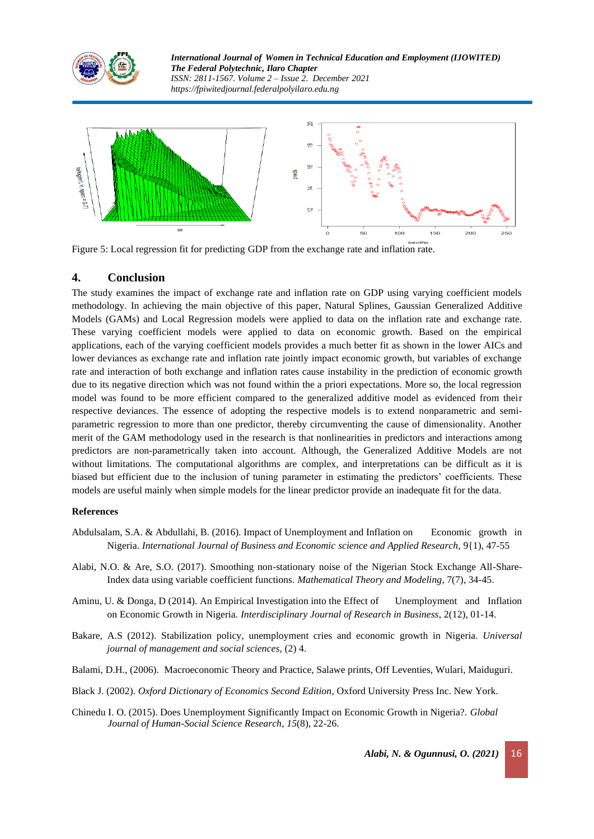



Figure 5: Local regression fit for predicting GDP from the exchange rate and inflation rate.

# **4. Conclusion**

The study examines the impact of exchange rate and inflation rate on GDP using varying coefficient models methodology. In achieving the main objective of this paper, Natural Splines, Gaussian Generalized Additive Models (GAMs) and Local Regression models were applied to data on the inflation rate and exchange rate. These varying coefficient models were applied to data on economic growth. Based on the empirical applications, each of the varying coefficient models provides a much better fit as shown in the lower AICs and lower deviances as exchange rate and inflation rate jointly impact economic growth, but variables of exchange rate and interaction of both exchange and inflation rates cause instability in the prediction of economic growth due to its negative direction which was not found within the a priori expectations. More so, the local regression model was found to be more efficient compared to the generalized additive model as evidenced from their respective deviances. The essence of adopting the respective models is to extend nonparametric and semiparametric regression to more than one predictor, thereby circumventing the cause of dimensionality. Another merit of the GAM methodology used in the research is that nonlinearities in predictors and interactions among predictors are non-parametrically taken into account. Although, the Generalized Additive Models are not without limitations. The computational algorithms are complex, and interpretations can be difficult as it is biased but efficient due to the inclusion of tuning parameter in estimating the predictors' coefficients. These models are useful mainly when simple models for the linear predictor provide an inadequate fit for the data.

# **References**

- Abdulsalam, S.A. & Abdullahi, B. (2016). Impact of Unemployment and Inflation on Economic growth in Nigeria. *International Journal of Business and Economic science and Applied Research,* 9{1), 47-55
- Alabi, N.O. & Are, S.O. (2017). Smoothing non-stationary noise of the Nigerian Stock Exchange All-Share-Index data using variable coefficient functions. *Mathematical Theory and Modeling,* 7(7), 34-45.
- Aminu, U. & Donga, D (2014). An Empirical Investigation into the Effect of Unemployment and Inflation on Economic Growth in Nigeria. *Interdisciplinary Journal of Research in Business*, 2(12), 01-14.
- Bakare, A.S (2012). Stabilization policy, unemployment cries and economic growth in Nigeria. *Universal journal of management and social sciences,* (2) 4.
- Balami, D.H., (2006). Macroeconomic Theory and Practice, Salawe prints, Off Leventies, Wulari, Maiduguri.
- Black J. (2002). *Oxford Dictionary of Economics Second Edition*, Oxford University Press Inc. New York.
- Chinedu I. O. (2015). Does Unemployment Significantly Impact on Economic Growth in Nigeria?. *Global Journal of Human-Social Science Research*, *15*(8), 22-26.